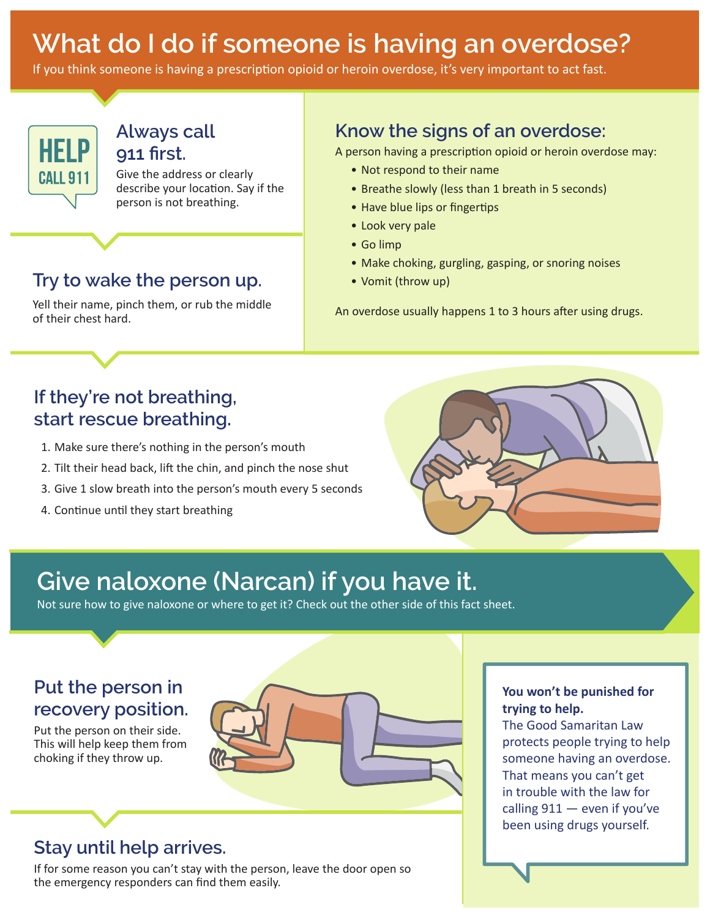# **What do I do if someone is having an overdose?**

If you think someone is having a prescription opioid or heroin overdose, it's very important to act fast.



#### **Always call 911 frst.**

Give the address or clearly describe your location. Say if the person is not breathing.

#### **Try to wake the person up.**

Yell their name, pinch them, or rub the middle of their chest hard.

#### **Know the signs of an overdose:**

A person having a prescription opioid or heroin overdose may:

- Not respond to their name
- Breathe slowly (less than 1 breath in 5 seconds)
- Have blue lips or fingertips
- Look very pale
- Go limp
- Make choking, gurgling, gasping, or snoring noises
- Vomit (throw up)

An overdose usually happens 1 to 3 hours after using drugs.

### **If they're not breathing, start rescue breathing.**

- 1. Make sure there's nothing in the person's mouth
- 2. Tilt their head back, lift the chin, and pinch the nose shut
- 3. Give 1 slow breath into the person's mouth every 5 seconds
- 4. Continue until they start breathing



## **Give naloxone (Narcan) if you have it.**

Not sure how to give naloxone or where to get it? Check out the other side of this fact sheet.

#### **Put the person in recovery position.**

Put the person on their side. This will help keep them from choking if they throw up.

## **Stay until help arrives.**

If for some reason you can't stay with the person, leave the door open so the emergency responders can fnd them easily.

#### **You won't be punished for trying to help.**

The Good Samaritan Law protects people trying to help someone having an overdose. That means you can't get in trouble with the law for calling  $911$  – even if you've been using drugs yourself.